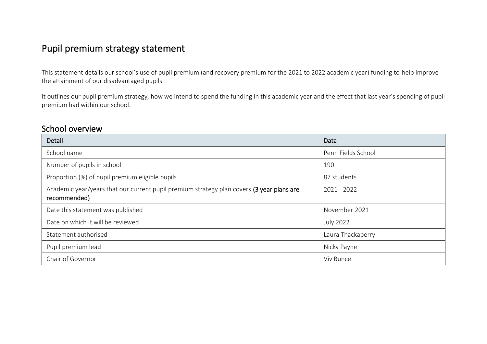## Pupil premium strategy statement

This statement details our school's use of pupil premium (and recovery premium for the 2021 to 2022 academic year) funding to help improve the attainment of our disadvantaged pupils.

It outlines our pupil premium strategy, how we intend to spend the funding in this academic year and the effect that last year's spending of pupil premium had within our school.

### School overview

| Detail                                                                                                    | Data               |
|-----------------------------------------------------------------------------------------------------------|--------------------|
| School name                                                                                               | Penn Fields School |
| Number of pupils in school                                                                                | 190                |
| Proportion (%) of pupil premium eligible pupils                                                           | 87 students        |
| Academic year/years that our current pupil premium strategy plan covers (3 year plans are<br>recommended) | 2021 - 2022        |
| Date this statement was published                                                                         | November 2021      |
| Date on which it will be reviewed                                                                         | <b>July 2022</b>   |
| Statement authorised                                                                                      | Laura Thackaberry  |
| Pupil premium lead                                                                                        | Nicky Payne        |
| Chair of Governor                                                                                         | Viv Bunce          |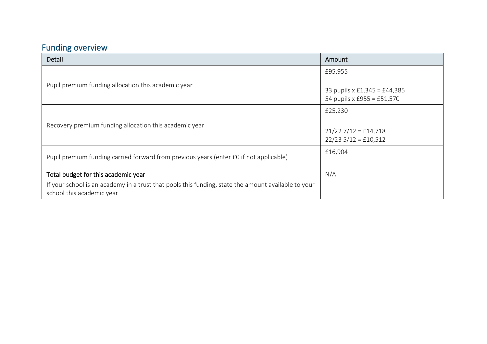# Funding overview

| Detail                                                                                                                           | Amount                                                            |
|----------------------------------------------------------------------------------------------------------------------------------|-------------------------------------------------------------------|
|                                                                                                                                  | £95,955                                                           |
| Pupil premium funding allocation this academic year                                                                              | 33 pupils x £1,345 = £44,385<br>54 pupils x £955 = £51,570        |
|                                                                                                                                  | £25,230                                                           |
| Recovery premium funding allocation this academic year                                                                           | $21/227/12 = \text{\textsterling}14,718$<br>$22/235/12 = £10,512$ |
| Pupil premium funding carried forward from previous years (enter £0 if not applicable)                                           | £16,904                                                           |
| Total budget for this academic year                                                                                              | N/A                                                               |
| If your school is an academy in a trust that pools this funding, state the amount available to your<br>school this academic year |                                                                   |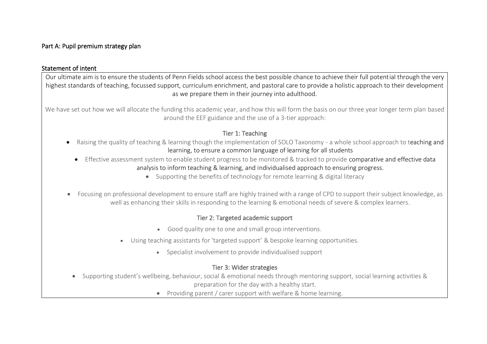### Part A: Pupil premium strategy plan

#### Statement of intent

Our ultimate aim is to ensure the students of Penn Fields school access the best possible chance to achieve their full potential through the very highest standards of teaching, focussed support, curriculum enrichment, and pastoral care to provide a holistic approach to their development as we prepare them in their journey into adulthood.

We have set out how we will allocate the funding this academic year, and how this will form the basis on our three year longer term plan based around the EEF guidance and the use of a 3-tier approach:

### Tier 1: Teaching

- Raising the quality of teaching & learning though the implementation of SOLO Taxonomy a whole school approach to teaching and learning, to ensure a common language of learning for all students
	- Effective assessment system to enable student progress to be monitored & tracked to provide comparative and effective data analysis to inform teaching & learning, and individualised approach to ensuring progress.
		- Supporting the benefits of technology for remote learning & digital literacy
- Focusing on professional development to ensure staff are highly trained with a range of CPD to support their subject knowledge, as well as enhancing their skills in responding to the learning & emotional needs of severe & complex learners.

### Tier 2: Targeted academic support

- Good quality one to one and small group interventions.
- Using teaching assistants for 'targeted support' & bespoke learning opportunities.
	- Specialist involvement to provide individualised support

### Tier 3: Wider strategies

- Supporting student's wellbeing, behaviour, social & emotional needs through mentoring support, social learning activities & preparation for the day with a healthy start.
	- Providing parent / carer support with welfare & home learning.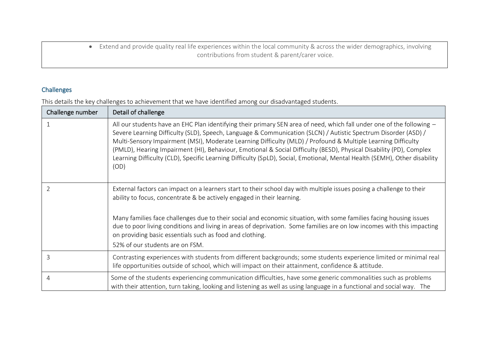• Extend and provide quality real life experiences within the local community & across the wider demographics, involving contributions from student & parent/carer voice.

### Challenges

This details the key challenges to achievement that we have identified among our disadvantaged students.

| Challenge number | Detail of challenge                                                                                                                                                                                                                                                                                                                                                                                                                                                                                                                                                                                                 |
|------------------|---------------------------------------------------------------------------------------------------------------------------------------------------------------------------------------------------------------------------------------------------------------------------------------------------------------------------------------------------------------------------------------------------------------------------------------------------------------------------------------------------------------------------------------------------------------------------------------------------------------------|
|                  | All our students have an EHC Plan identifying their primary SEN area of need, which fall under one of the following -<br>Severe Learning Difficulty (SLD), Speech, Language & Communication (SLCN) / Autistic Spectrum Disorder (ASD) /<br>Multi-Sensory Impairment (MSI), Moderate Learning Difficulty (MLD) / Profound & Multiple Learning Difficulty<br>(PMLD), Hearing Impairment (HI), Behaviour, Emotional & Social Difficulty (BESD), Physical Disability (PD), Complex<br>Learning Difficulty (CLD), Specific Learning Difficulty (SpLD), Social, Emotional, Mental Health (SEMH), Other disability<br>(OD) |
| $\overline{2}$   | External factors can impact on a learners start to their school day with multiple issues posing a challenge to their<br>ability to focus, concentrate & be actively engaged in their learning.                                                                                                                                                                                                                                                                                                                                                                                                                      |
|                  | Many families face challenges due to their social and economic situation, with some families facing housing issues<br>due to poor living conditions and living in areas of deprivation. Some families are on low incomes with this impacting<br>on providing basic essentials such as food and clothing.<br>52% of our students are on FSM.                                                                                                                                                                                                                                                                         |
| 3                | Contrasting experiences with students from different backgrounds; some students experience limited or minimal real<br>life opportunities outside of school, which will impact on their attainment, confidence & attitude.                                                                                                                                                                                                                                                                                                                                                                                           |
| 4                | Some of the students experiencing communication difficulties, have some generic commonalities such as problems<br>with their attention, turn taking, looking and listening as well as using language in a functional and social way. The                                                                                                                                                                                                                                                                                                                                                                            |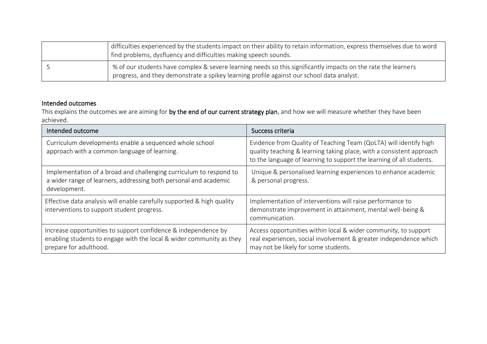| difficulties experienced by the students impact on their ability to retain information, express themselves due to word<br>find problems, dysfluency and difficulties making speech sounds.                 |
|------------------------------------------------------------------------------------------------------------------------------------------------------------------------------------------------------------|
| % of our students have complex & severe learning needs so this significantly impacts on the rate the learners<br>progress, and they demonstrate a spikey learning profile against our school data analyst. |

### Intended outcomes

This explains the outcomes we are aiming for by the end of our current strategy plan, and how we will measure whether they have been achieved.

| Intended outcome                                                                                                                                                 | Success criteria                                                                                                                                                                                                  |
|------------------------------------------------------------------------------------------------------------------------------------------------------------------|-------------------------------------------------------------------------------------------------------------------------------------------------------------------------------------------------------------------|
| Curriculum developments enable a sequenced whole school<br>approach with a common language of learning.                                                          | Evidence from Quality of Teaching Team (QoLTA) will identify high<br>quality teaching & learning taking place, with a consistent approach<br>to the language of learning to support the learning of all students. |
| Implementation of a broad and challenging curriculum to respond to<br>a wider range of learners, addressing both personal and academic<br>development.           | Unique & personalised learning experiences to enhance academic<br>& personal progress.                                                                                                                            |
| Effective data analysis will enable carefully supported & high quality<br>interventions to support student progress.                                             | Implementation of interventions will raise performance to<br>demonstrate improvement in attainment, mental well-being &<br>communication.                                                                         |
| Increase opportunities to support confidence & independence by<br>enabling students to engage with the local & wider community as they<br>prepare for adulthood. | Access opportunities within local & wider community, to support<br>real experiences, social involvement & greater independence which<br>may not be likely for some students.                                      |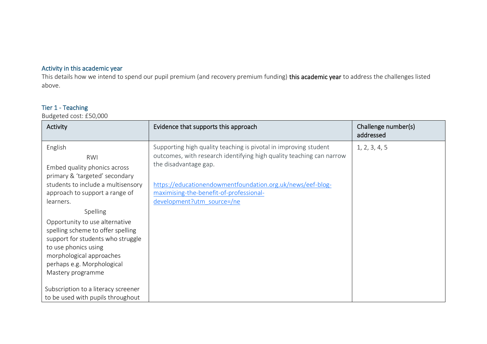### Activity in this academic year

This details how we intend to spend our pupil premium (and recovery premium funding) this academic year to address the challenges listed above.

### Tier 1 - Teaching

Budgeted cost: £50,000

| Activity                                                                                                                                                                                                                    | Evidence that supports this approach                                                                                                                              | Challenge number(s)<br>addressed |
|-----------------------------------------------------------------------------------------------------------------------------------------------------------------------------------------------------------------------------|-------------------------------------------------------------------------------------------------------------------------------------------------------------------|----------------------------------|
| English<br>RWI<br>Embed quality phonics across<br>primary & 'targeted' secondary                                                                                                                                            | Supporting high quality teaching is pivotal in improving student<br>outcomes, with research identifying high quality teaching can narrow<br>the disadvantage gap. | 1, 2, 3, 4, 5                    |
| students to include a multisensory<br>approach to support a range of<br>learners.                                                                                                                                           | https://educationendowmentfoundation.org.uk/news/eef-blog-<br>maximising-the-benefit-of-professional-<br>development?utm_source=/ne                               |                                  |
| Spelling<br>Opportunity to use alternative<br>spelling scheme to offer spelling<br>support for students who struggle<br>to use phonics using<br>morphological approaches<br>perhaps e.g. Morphological<br>Mastery programme |                                                                                                                                                                   |                                  |
| Subscription to a literacy screener<br>to be used with pupils throughout                                                                                                                                                    |                                                                                                                                                                   |                                  |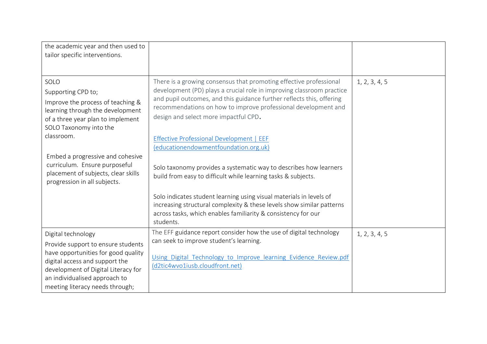| the academic year and then used to<br>tailor specific interventions.                                                                                               |                                                                                                                                                                                                                                                                                                                                 |               |
|--------------------------------------------------------------------------------------------------------------------------------------------------------------------|---------------------------------------------------------------------------------------------------------------------------------------------------------------------------------------------------------------------------------------------------------------------------------------------------------------------------------|---------------|
| SOLO<br>Supporting CPD to;<br>Improve the process of teaching &<br>learning through the development<br>of a three year plan to implement<br>SOLO Taxonomy into the | There is a growing consensus that promoting effective professional<br>development (PD) plays a crucial role in improving classroom practice<br>and pupil outcomes, and this guidance further reflects this, offering<br>recommendations on how to improve professional development and<br>design and select more impactful CPD. | 1, 2, 3, 4, 5 |
| classroom.                                                                                                                                                         | <b>Effective Professional Development   EEF</b><br>(educationendowmentfoundation.org.uk)                                                                                                                                                                                                                                        |               |
| Embed a progressive and cohesive<br>curriculum. Ensure purposeful<br>placement of subjects, clear skills<br>progression in all subjects.                           | Solo taxonomy provides a systematic way to describes how learners<br>build from easy to difficult while learning tasks & subjects.                                                                                                                                                                                              |               |
|                                                                                                                                                                    | Solo indicates student learning using visual materials in levels of<br>increasing structural complexity & these levels show similar patterns<br>across tasks, which enables familiarity & consistency for our<br>students.                                                                                                      |               |
| Digital technology<br>Provide support to ensure students<br>have opportunities for good quality<br>digital access and support the                                  | The EFF guidance report consider how the use of digital technology<br>can seek to improve student's learning.<br>Using Digital Technology to Improve learning Evidence Review.pdf<br>(d2tic4wvo1iusb.cloudfront.net)                                                                                                            | 1, 2, 3, 4, 5 |
| development of Digital Literacy for<br>an individualised approach to<br>meeting literacy needs through;                                                            |                                                                                                                                                                                                                                                                                                                                 |               |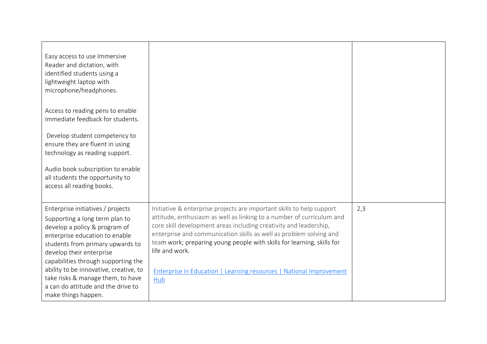| Easy access to use Immersive<br>Reader and dictation, with<br>identified students using a<br>lightweight laptop with<br>microphone/headphones.                                                                                                                                                                                                                                            |                                                                                                                                                                                                                                                                                                                                                                                                                                                                     |     |
|-------------------------------------------------------------------------------------------------------------------------------------------------------------------------------------------------------------------------------------------------------------------------------------------------------------------------------------------------------------------------------------------|---------------------------------------------------------------------------------------------------------------------------------------------------------------------------------------------------------------------------------------------------------------------------------------------------------------------------------------------------------------------------------------------------------------------------------------------------------------------|-----|
| Access to reading pens to enable<br>immediate feedback for students.                                                                                                                                                                                                                                                                                                                      |                                                                                                                                                                                                                                                                                                                                                                                                                                                                     |     |
| Develop student competency to<br>ensure they are fluent in using<br>technology as reading support.                                                                                                                                                                                                                                                                                        |                                                                                                                                                                                                                                                                                                                                                                                                                                                                     |     |
| Audio book subscription to enable<br>all students the opportunity to<br>access all reading books.                                                                                                                                                                                                                                                                                         |                                                                                                                                                                                                                                                                                                                                                                                                                                                                     |     |
| Enterprise initiatives / projects<br>Supporting a long term plan to<br>develop a policy & program of<br>enterprise education to enable<br>students from primary upwards to<br>develop their enterprise<br>capabilities through supporting the<br>ability to be innovative, creative, to<br>take risks & manage them, to have<br>a can do attitude and the drive to<br>make things happen. | Initiative & enterprise projects are important skills to help support<br>attitude, enthusiasm as well as linking to a number of curriculum and<br>core skill development areas including creativity and leadership,<br>enterprise and communication skills as well as problem solving and<br>team work; preparing young people with skills for learning, skills for<br>life and work.<br>Enterprise in Education   Learning resources   National Improvement<br>Hub | 2,3 |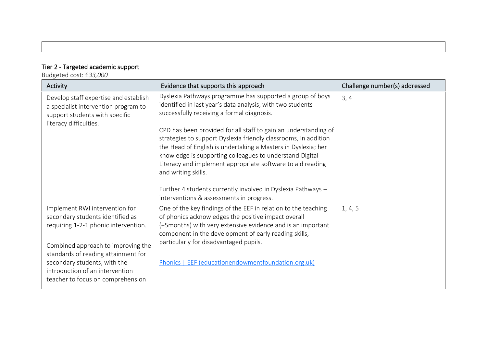# Tier 2 - Targeted academic support

Budgeted cost: £*33,000*

| Activity                                                                                                                                                                                                                                                                                        | Evidence that supports this approach                                                                                                                                                                                                                                                                                                                                                                                                                                                                                          | Challenge number(s) addressed |
|-------------------------------------------------------------------------------------------------------------------------------------------------------------------------------------------------------------------------------------------------------------------------------------------------|-------------------------------------------------------------------------------------------------------------------------------------------------------------------------------------------------------------------------------------------------------------------------------------------------------------------------------------------------------------------------------------------------------------------------------------------------------------------------------------------------------------------------------|-------------------------------|
| Develop staff expertise and establish<br>a specialist intervention program to<br>support students with specific<br>literacy difficulties.                                                                                                                                                       | Dyslexia Pathways programme has supported a group of boys<br>identified in last year's data analysis, with two students<br>successfully receiving a formal diagnosis.<br>CPD has been provided for all staff to gain an understanding of<br>strategies to support Dyslexia friendly classrooms, in addition<br>the Head of English is undertaking a Masters in Dyslexia; her<br>knowledge is supporting colleagues to understand Digital<br>Literacy and implement appropriate software to aid reading<br>and writing skills. | 3, 4                          |
|                                                                                                                                                                                                                                                                                                 | Further 4 students currently involved in Dyslexia Pathways -<br>interventions & assessments in progress.                                                                                                                                                                                                                                                                                                                                                                                                                      |                               |
| Implement RWI intervention for<br>secondary students identified as<br>requiring 1-2-1 phonic intervention.<br>Combined approach to improving the<br>standards of reading attainment for<br>secondary students, with the<br>introduction of an intervention<br>teacher to focus on comprehension | One of the key findings of the EEF in relation to the teaching<br>of phonics acknowledges the positive impact overall<br>(+5months) with very extensive evidence and is an important<br>component in the development of early reading skills,<br>particularly for disadvantaged pupils.<br>Phonics   EEF (educationendowmentfoundation.org.uk)                                                                                                                                                                                | 1, 4, 5                       |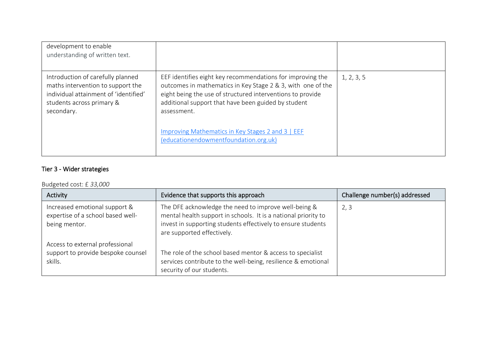| development to enable<br>understanding of written text.                                                                                                    |                                                                                                                                                                                                                                                               |            |
|------------------------------------------------------------------------------------------------------------------------------------------------------------|---------------------------------------------------------------------------------------------------------------------------------------------------------------------------------------------------------------------------------------------------------------|------------|
| Introduction of carefully planned<br>maths intervention to support the<br>individual attainment of 'identified'<br>students across primary &<br>secondary. | EEF identifies eight key recommendations for improving the<br>outcomes in mathematics in Key Stage 2 & 3, with one of the<br>eight being the use of structured interventions to provide<br>additional support that have been guided by student<br>assessment. | 1, 2, 3, 5 |
|                                                                                                                                                            | Improving Mathematics in Key Stages 2 and 3   EEF<br>(educationendowmentfoundation.org.uk)                                                                                                                                                                    |            |

### Tier 3 - Wider strategies

### Budgeted cost: £ *33,000*

| Activity                                                                            | Evidence that supports this approach                                                                                                                                                                                 | Challenge number(s) addressed |
|-------------------------------------------------------------------------------------|----------------------------------------------------------------------------------------------------------------------------------------------------------------------------------------------------------------------|-------------------------------|
| Increased emotional support &<br>expertise of a school based well-<br>being mentor. | The DFE acknowledge the need to improve well-being &<br>mental health support in schools. It is a national priority to<br>invest in supporting students effectively to ensure students<br>are supported effectively. | 2, 3                          |
| Access to external professional<br>support to provide bespoke counsel<br>skills.    | The role of the school based mentor & access to specialist<br>services contribute to the well-being, resilience & emotional<br>security of our students.                                                             |                               |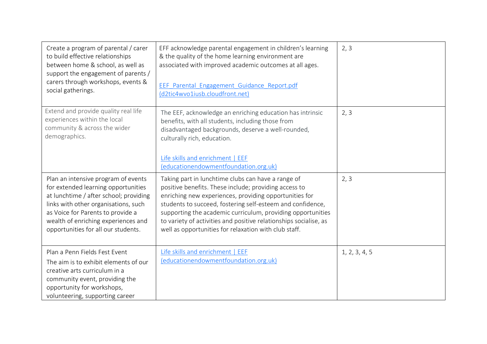| Create a program of parental / carer<br>to build effective relationships<br>between home & school, as well as<br>support the engagement of parents /<br>carers through workshops, events &<br>social gatherings.                                                                | EFF acknowledge parental engagement in children's learning<br>& the quality of the home learning environment are<br>associated with improved academic outcomes at all ages.<br>EEF Parental Engagement Guidance Report.pdf<br>(d2tic4wvo1iusb.cloudfront.net)                                                                                                                                                                    | 2, 3          |
|---------------------------------------------------------------------------------------------------------------------------------------------------------------------------------------------------------------------------------------------------------------------------------|----------------------------------------------------------------------------------------------------------------------------------------------------------------------------------------------------------------------------------------------------------------------------------------------------------------------------------------------------------------------------------------------------------------------------------|---------------|
| Extend and provide quality real life<br>experiences within the local<br>community & across the wider<br>demographics.                                                                                                                                                           | The EEF, acknowledge an enriching education has intrinsic<br>benefits, with all students, including those from<br>disadvantaged backgrounds, deserve a well-rounded,<br>culturally rich, education.<br>Life skills and enrichment   EEF<br>(educationendowmentfoundation.org.uk)                                                                                                                                                 | 2, 3          |
| Plan an intensive program of events<br>for extended learning opportunities<br>at lunchtime / after school; providing<br>links with other organisations, such<br>as Voice for Parents to provide a<br>wealth of enriching experiences and<br>opportunities for all our students. | Taking part in lunchtime clubs can have a range of<br>positive benefits. These include; providing access to<br>enriching new experiences, providing opportunities for<br>students to succeed, fostering self-esteem and confidence,<br>supporting the academic curriculum, providing opportunities<br>to variety of activities and positive relationships socialise, as<br>well as opportunities for relaxation with club staff. | 2, 3          |
| Plan a Penn Fields Fest Event<br>The aim is to exhibit elements of our<br>creative arts curriculum in a<br>community event, providing the<br>opportunity for workshops,<br>volunteering, supporting career                                                                      | Life skills and enrichment   EEF<br>(educationendowmentfoundation.org.uk)                                                                                                                                                                                                                                                                                                                                                        | 1, 2, 3, 4, 5 |